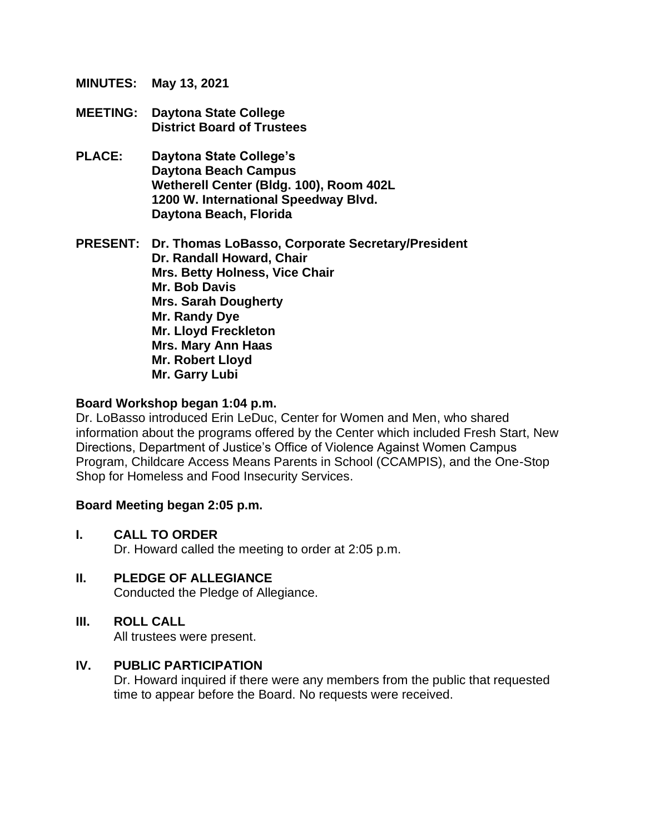**MINUTES: May 13, 2021**

- **MEETING: Daytona State College District Board of Trustees**
- **PLACE: Daytona State College's Daytona Beach Campus Wetherell Center (Bldg. 100), Room 402L 1200 W. International Speedway Blvd. Daytona Beach, Florida**

**PRESENT: Dr. Thomas LoBasso, Corporate Secretary/President Dr. Randall Howard, Chair Mrs. Betty Holness, Vice Chair Mr. Bob Davis Mrs. Sarah Dougherty Mr. Randy Dye Mr. Lloyd Freckleton Mrs. Mary Ann Haas Mr. Robert Lloyd Mr. Garry Lubi**

### **Board Workshop began 1:04 p.m.**

Dr. LoBasso introduced Erin LeDuc, Center for Women and Men, who shared information about the programs offered by the Center which included Fresh Start, New Directions, Department of Justice's Office of Violence Against Women Campus Program, Childcare Access Means Parents in School (CCAMPIS), and the One-Stop Shop for Homeless and Food Insecurity Services.

### **Board Meeting began 2:05 p.m.**

- **I. CALL TO ORDER** Dr. Howard called the meeting to order at 2:05 p.m.
- **II. PLEDGE OF ALLEGIANCE** Conducted the Pledge of Allegiance.
- **III. ROLL CALL** All trustees were present.

### **IV. PUBLIC PARTICIPATION**

Dr. Howard inquired if there were any members from the public that requested time to appear before the Board. No requests were received.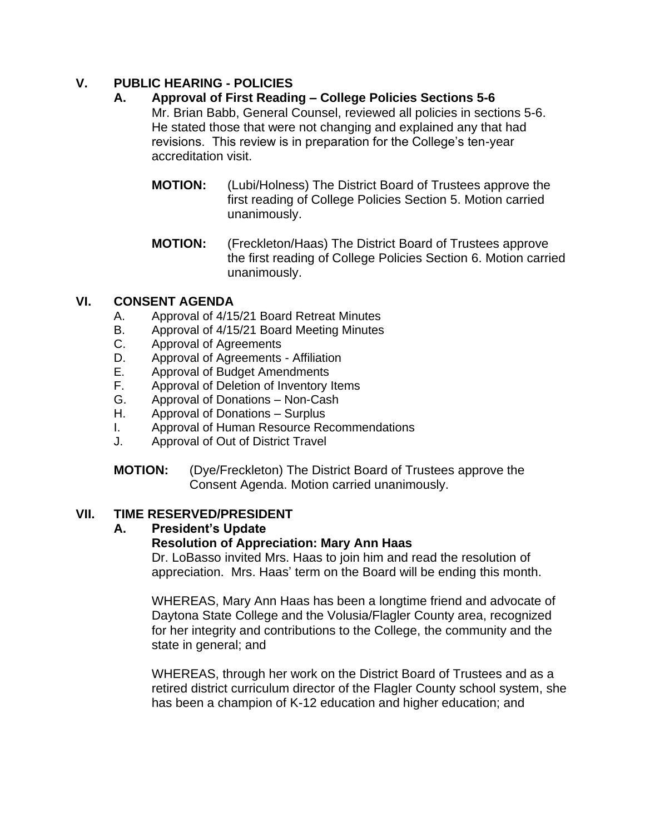## **V. PUBLIC HEARING - POLICIES**

## **A. Approval of First Reading – College Policies Sections 5-6**

Mr. Brian Babb, General Counsel, reviewed all policies in sections 5-6. He stated those that were not changing and explained any that had revisions. This review is in preparation for the College's ten-year accreditation visit.

- **MOTION:** (Lubi/Holness) The District Board of Trustees approve the first reading of College Policies Section 5. Motion carried unanimously.
- **MOTION:** (Freckleton/Haas) The District Board of Trustees approve the first reading of College Policies Section 6. Motion carried unanimously.

### **VI. CONSENT AGENDA**

- A. Approval of 4/15/21 Board Retreat Minutes
- B. Approval of 4/15/21 Board Meeting Minutes
- C. Approval of Agreements
- D. Approval of Agreements Affiliation
- E. Approval of Budget Amendments
- F. Approval of Deletion of Inventory Items
- G. Approval of Donations Non-Cash
- H. Approval of Donations Surplus
- I. Approval of Human Resource Recommendations
- J. Approval of Out of District Travel
- **MOTION:** (Dye/Freckleton) The District Board of Trustees approve the Consent Agenda. Motion carried unanimously.

## **VII. TIME RESERVED/PRESIDENT**

## **A. President's Update**

## **Resolution of Appreciation: Mary Ann Haas**

Dr. LoBasso invited Mrs. Haas to join him and read the resolution of appreciation. Mrs. Haas' term on the Board will be ending this month.

WHEREAS, Mary Ann Haas has been a longtime friend and advocate of Daytona State College and the Volusia/Flagler County area, recognized for her integrity and contributions to the College, the community and the state in general; and

WHEREAS, through her work on the District Board of Trustees and as a retired district curriculum director of the Flagler County school system, she has been a champion of K-12 education and higher education; and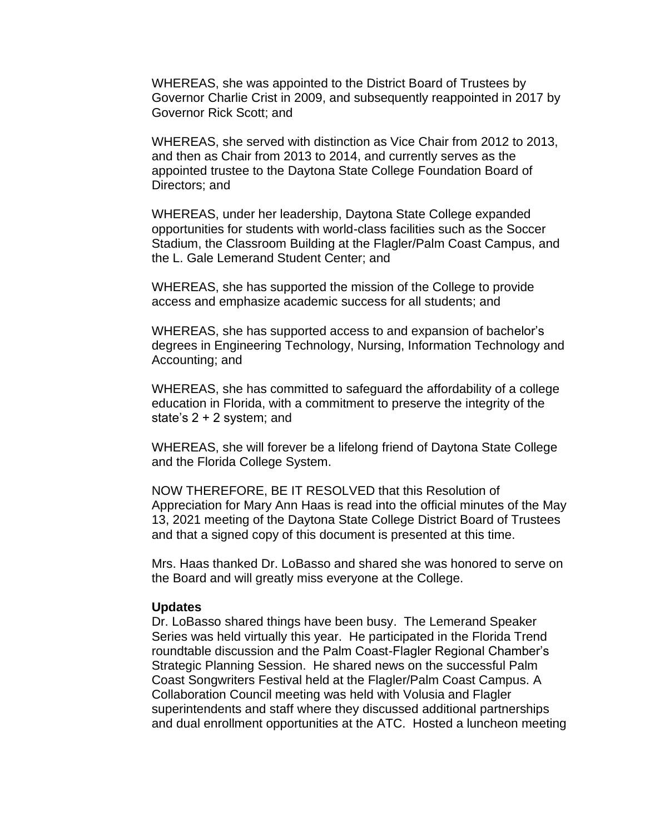WHEREAS, she was appointed to the District Board of Trustees by Governor Charlie Crist in 2009, and subsequently reappointed in 2017 by Governor Rick Scott; and

WHEREAS, she served with distinction as Vice Chair from 2012 to 2013, and then as Chair from 2013 to 2014, and currently serves as the appointed trustee to the Daytona State College Foundation Board of Directors; and

WHEREAS, under her leadership, Daytona State College expanded opportunities for students with world-class facilities such as the Soccer Stadium, the Classroom Building at the Flagler/Palm Coast Campus, and the L. Gale Lemerand Student Center; and

WHEREAS, she has supported the mission of the College to provide access and emphasize academic success for all students; and

WHEREAS, she has supported access to and expansion of bachelor's degrees in Engineering Technology, Nursing, Information Technology and Accounting; and

WHEREAS, she has committed to safeguard the affordability of a college education in Florida, with a commitment to preserve the integrity of the state's 2 + 2 system; and

WHEREAS, she will forever be a lifelong friend of Daytona State College and the Florida College System.

NOW THEREFORE, BE IT RESOLVED that this Resolution of Appreciation for Mary Ann Haas is read into the official minutes of the May 13, 2021 meeting of the Daytona State College District Board of Trustees and that a signed copy of this document is presented at this time.

Mrs. Haas thanked Dr. LoBasso and shared she was honored to serve on the Board and will greatly miss everyone at the College.

#### **Updates**

Dr. LoBasso shared things have been busy. The Lemerand Speaker Series was held virtually this year. He participated in the Florida Trend roundtable discussion and the Palm Coast-Flagler Regional Chamber's Strategic Planning Session. He shared news on the successful Palm Coast Songwriters Festival held at the Flagler/Palm Coast Campus. A Collaboration Council meeting was held with Volusia and Flagler superintendents and staff where they discussed additional partnerships and dual enrollment opportunities at the ATC. Hosted a luncheon meeting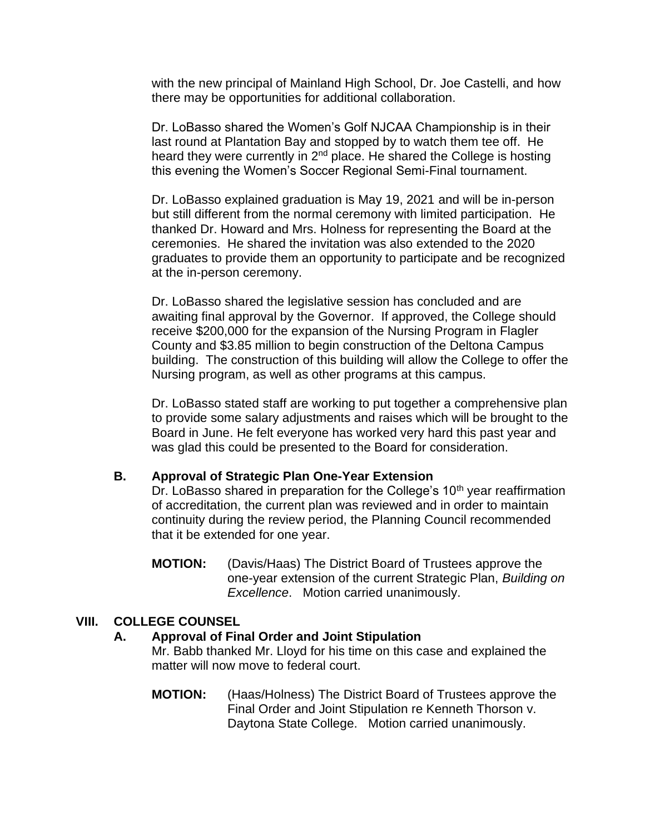with the new principal of Mainland High School, Dr. Joe Castelli, and how there may be opportunities for additional collaboration.

Dr. LoBasso shared the Women's Golf NJCAA Championship is in their last round at Plantation Bay and stopped by to watch them tee off. He heard they were currently in 2<sup>nd</sup> place. He shared the College is hosting this evening the Women's Soccer Regional Semi-Final tournament.

Dr. LoBasso explained graduation is May 19, 2021 and will be in-person but still different from the normal ceremony with limited participation. He thanked Dr. Howard and Mrs. Holness for representing the Board at the ceremonies. He shared the invitation was also extended to the 2020 graduates to provide them an opportunity to participate and be recognized at the in-person ceremony.

Dr. LoBasso shared the legislative session has concluded and are awaiting final approval by the Governor. If approved, the College should receive \$200,000 for the expansion of the Nursing Program in Flagler County and \$3.85 million to begin construction of the Deltona Campus building. The construction of this building will allow the College to offer the Nursing program, as well as other programs at this campus.

Dr. LoBasso stated staff are working to put together a comprehensive plan to provide some salary adjustments and raises which will be brought to the Board in June. He felt everyone has worked very hard this past year and was glad this could be presented to the Board for consideration.

### **B. Approval of Strategic Plan One-Year Extension**

Dr. LoBasso shared in preparation for the College's  $10<sup>th</sup>$  year reaffirmation of accreditation, the current plan was reviewed and in order to maintain continuity during the review period, the Planning Council recommended that it be extended for one year.

**MOTION:** (Davis/Haas) The District Board of Trustees approve the one-year extension of the current Strategic Plan, *Building on Excellence*. Motion carried unanimously.

### **VIII. COLLEGE COUNSEL**

### **A. Approval of Final Order and Joint Stipulation**

Mr. Babb thanked Mr. Lloyd for his time on this case and explained the matter will now move to federal court.

**MOTION:** (Haas/Holness) The District Board of Trustees approve the Final Order and Joint Stipulation re Kenneth Thorson v. Daytona State College. Motion carried unanimously.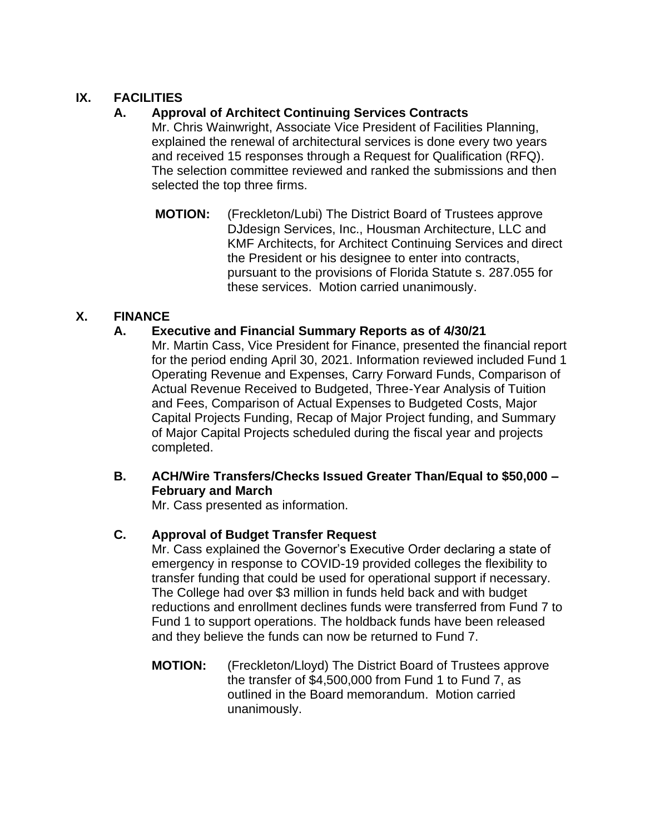## **IX. FACILITIES**

# **A. Approval of Architect Continuing Services Contracts**

Mr. Chris Wainwright, Associate Vice President of Facilities Planning, explained the renewal of architectural services is done every two years and received 15 responses through a Request for Qualification (RFQ). The selection committee reviewed and ranked the submissions and then selected the top three firms.

**MOTION:** (Freckleton/Lubi) The District Board of Trustees approve DJdesign Services, Inc., Housman Architecture, LLC and KMF Architects, for Architect Continuing Services and direct the President or his designee to enter into contracts, pursuant to the provisions of Florida Statute s. 287.055 for these services. Motion carried unanimously.

## **X. FINANCE**

## **A. Executive and Financial Summary Reports as of 4/30/21**

Mr. Martin Cass, Vice President for Finance, presented the financial report for the period ending April 30, 2021. Information reviewed included Fund 1 Operating Revenue and Expenses, Carry Forward Funds, Comparison of Actual Revenue Received to Budgeted, Three-Year Analysis of Tuition and Fees, Comparison of Actual Expenses to Budgeted Costs, Major Capital Projects Funding, Recap of Major Project funding, and Summary of Major Capital Projects scheduled during the fiscal year and projects completed.

## **B. ACH/Wire Transfers/Checks Issued Greater Than/Equal to \$50,000 – February and March**

Mr. Cass presented as information.

## **C. Approval of Budget Transfer Request**

Mr. Cass explained the Governor's Executive Order declaring a state of emergency in response to COVID-19 provided colleges the flexibility to transfer funding that could be used for operational support if necessary. The College had over \$3 million in funds held back and with budget reductions and enrollment declines funds were transferred from Fund 7 to Fund 1 to support operations. The holdback funds have been released and they believe the funds can now be returned to Fund 7.

**MOTION:** (Freckleton/Lloyd) The District Board of Trustees approve the transfer of \$4,500,000 from Fund 1 to Fund 7, as outlined in the Board memorandum. Motion carried unanimously.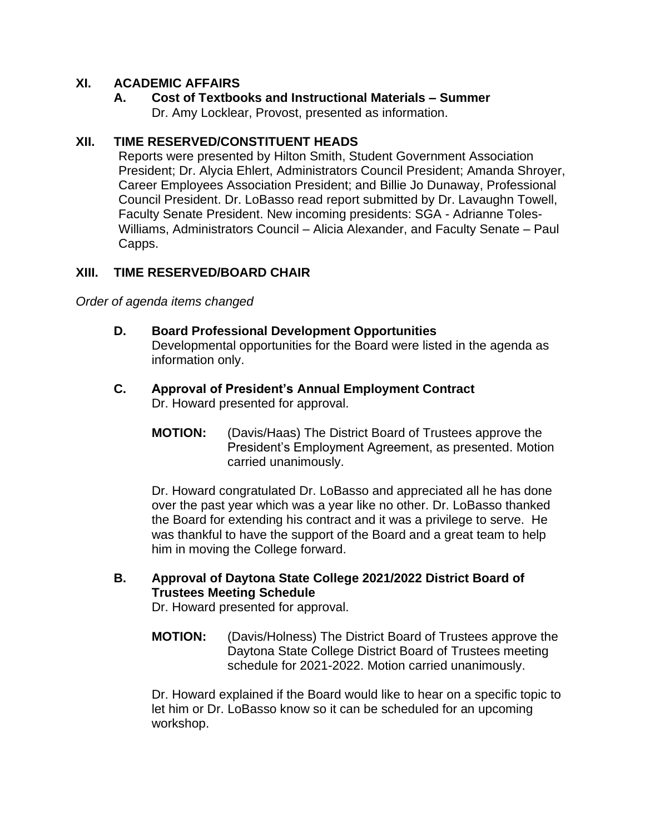### **XI. ACADEMIC AFFAIRS**

**A. Cost of Textbooks and Instructional Materials – Summer** Dr. Amy Locklear, Provost, presented as information.

### **XII. TIME RESERVED/CONSTITUENT HEADS**

Reports were presented by Hilton Smith, Student Government Association President; Dr. Alycia Ehlert, Administrators Council President; Amanda Shroyer, Career Employees Association President; and Billie Jo Dunaway, Professional Council President. Dr. LoBasso read report submitted by Dr. Lavaughn Towell, Faculty Senate President. New incoming presidents: SGA - Adrianne Toles-Williams, Administrators Council – Alicia Alexander, and Faculty Senate – Paul Capps.

### **XIII. TIME RESERVED/BOARD CHAIR**

*Order of agenda items changed*

- **D. Board Professional Development Opportunities** Developmental opportunities for the Board were listed in the agenda as information only.
- **C. Approval of President's Annual Employment Contract** Dr. Howard presented for approval.
	- **MOTION:** (Davis/Haas) The District Board of Trustees approve the President's Employment Agreement, as presented. Motion carried unanimously.

Dr. Howard congratulated Dr. LoBasso and appreciated all he has done over the past year which was a year like no other. Dr. LoBasso thanked the Board for extending his contract and it was a privilege to serve. He was thankful to have the support of the Board and a great team to help him in moving the College forward.

## **B. Approval of Daytona State College 2021/2022 District Board of Trustees Meeting Schedule**

Dr. Howard presented for approval.

**MOTION:** (Davis/Holness) The District Board of Trustees approve the Daytona State College District Board of Trustees meeting schedule for 2021-2022. Motion carried unanimously.

Dr. Howard explained if the Board would like to hear on a specific topic to let him or Dr. LoBasso know so it can be scheduled for an upcoming workshop.